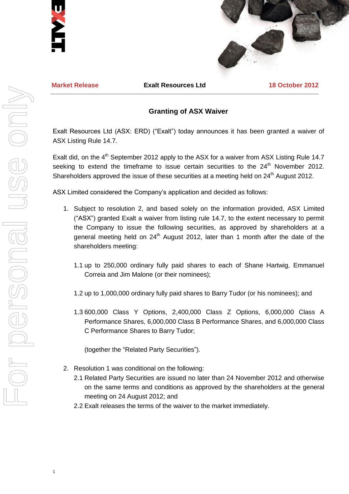



**Market Release Exalt Resources Ltd 18 October 2012**

## **Granting of ASX Waiver**

Exalt Resources Ltd (ASX: ERD) ("Exalt") today announces it has been granted a waiver of ASX Listing Rule 14.7.

Exalt did, on the 4<sup>th</sup> September 2012 apply to the ASX for a waiver from ASX Listing Rule 14.7 seeking to extend the timeframe to issue certain securities to the  $24<sup>th</sup>$  November 2012. Shareholders approved the issue of these securities at a meeting held on 24<sup>th</sup> August 2012.

ASX Limited considered the Company's application and decided as follows:

- 1. Subject to resolution 2, and based solely on the information provided, ASX Limited ("ASX") granted Exalt a waiver from listing rule 14.7, to the extent necessary to permit the Company to issue the following securities, as approved by shareholders at a general meeting held on  $24<sup>th</sup>$  August 2012, later than 1 month after the date of the shareholders meeting:
	- 1.1 up to 250,000 ordinary fully paid shares to each of Shane Hartwig, Emmanuel Correia and Jim Malone (or their nominees);
	- 1.2 up to 1,000,000 ordinary fully paid shares to Barry Tudor (or his nominees); and
	- 1.3 600,000 Class Y Options, 2,400,000 Class Z Options, 6,000,000 Class A Performance Shares, 6,000,000 Class B Performance Shares, and 6,000,000 Class C Performance Shares to Barry Tudor;

(together the "Related Party Securities").

- 2. Resolution 1 was conditional on the following:
	- 2.1 Related Party Securities are issued no later than 24 November 2012 and otherwise on the same terms and conditions as approved by the shareholders at the general meeting on 24 August 2012; and
	- 2.2 Exalt releases the terms of the waiver to the market immediately.

1